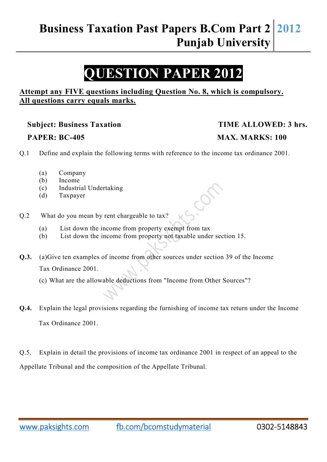## **QUESTION PAPER 2012**

#### **Attempt any FIVE questions including Question No. 8, which is compulsory. All questions carry equals marks.**

#### Subject: Business Taxation TIME ALLOWED: 3 hrs.

# **PAPER: BC-405 MAX. MARKS: 100**

Q.1 Define and explain the following terms with reference to the income tax ordinance 2001.

- (a) Company
- (b) Income
- (c) Industrial Undertaking
- (d) Taxpayer
- Q.2 What do you mean by rent chargeable to tax?
	- (a) List down the income from property exempt from tax
	- (b) List down the income from property not taxable under section 15.

**Q.3.** (a)Give ten examples of income from other sources under section 39 of the Income Tax Ordinance 2001.

- (c) What are the allowable deductions from "Income from Other Sources"?
- **Q.4.** Explain the legal provisions regarding the furnishing of income tax return under the Income Tax Ordinance 2001.

Q.5. Explain in detail the provisions of income tax ordinance 2001 in respect of an appeal to the Appellate Tribunal and the composition of the Appellate Tribunal.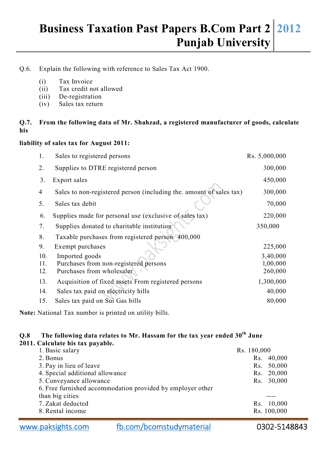### **Business Taxation Past Papers B.Com Part 2 Punjab University 2012**

#### Q.6. Explain the following with reference to Sales Tax Act 1900.

- (i) Tax Invoice
- (ii) Tax credit not allowed
- (iii) De-registration
- (iv) Sales tax return

#### **Q.7. From the following data of Mr. Shahzad, a registered manufacturer of goods, calculate his**

#### **liability of sales tax for August 2011:**

| 1.             | Sales to registered persons                                         | Rs. 5,000,000 |
|----------------|---------------------------------------------------------------------|---------------|
| 2.             | Supplies to DTRE registered person                                  | 300,000       |
| 3.             | Export sales                                                        | 450,000       |
| $\overline{4}$ | Sales to non-registered person (including the. amount of sales tax) | 300,000       |
| 5.             | Sales tax debit                                                     | 70,000        |
| 6.             | Supplies made for personal use (exclusive of sales tax)             | 220,000       |
| 7.             | Supplies donated to charitable institution                          | 350,000       |
| 8.             | Taxable purchases from registered person 400,000                    |               |
| 9.             | Exempt purchases                                                    | 225,000       |
| 10.            | Imported goods                                                      | 3,40,000      |
| 11.            | Purchases from non-registered persons                               | 1,00,000      |
| 12.            | Purchases from wholesaler                                           | 260,000       |
| 13.            | Acquisition of fixed assets From registered persons                 | 1,300,000     |
| 14.            | Sales tax paid on electricity hills                                 | 40,000        |
| 15.            | Sales tax paid on Sui Gas bills                                     | 80,000        |
|                |                                                                     |               |

**Note:** National Tax number is printed on utility bills.

#### **Q.8 The following data relates to Mr. Hassam for the tax year ended 30th June 2011. Calculate his tax payable.**

| 11. Calculate ilis tax payabit.                            |               |
|------------------------------------------------------------|---------------|
| 1. Basic salary                                            | Rs. 180,000   |
| 2. Bonus                                                   | 40,000<br>Rs. |
| 3. Pay in lieu of leave                                    | 50,000<br>Rs. |
| 4. Special additional allowance                            | Rs. 20,000    |
| 5. Conveyance allowance                                    | Rs. 30,000    |
| 6. Free furnished accommodation provided by employer other |               |
| than big cities                                            |               |
| 7. Zakat deducted                                          | Rs. 10,000    |
| 8. Rental income                                           | Rs. 100,000   |
|                                                            |               |

www.paksights.com fb.com/bcomstudymaterial 0302-5148843